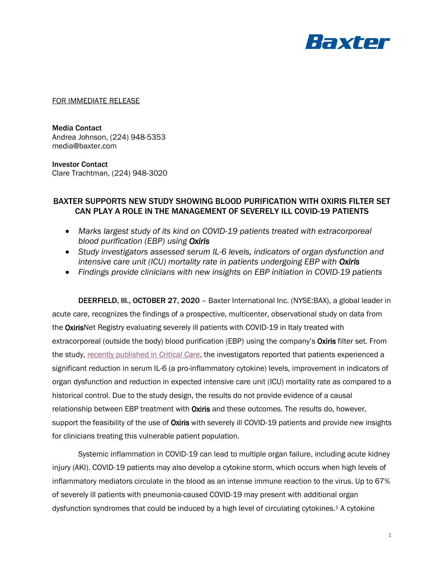

#### FOR IMMEDIATE RELEASE

Media Contact Andrea Johnson, (224) 948-5353 media@baxter.com

Investor Contact Clare Trachtman, (224) 948-3020

# BAXTER SUPPORTS NEW STUDY SHOWING BLOOD PURIFICATION WITH OXIRIS FILTER SET CAN PLAY A ROLE IN THE MANAGEMENT OF SEVERELY ILL COVID-19 PATIENTS

- *Marks largest study of its kind on COVID-19 patients treated with extracorporeal blood purification (EBP) using Oxiris*
- *Study investigators assessed serum IL-6 levels, indicators of organ dysfunction and intensive care unit (ICU) mortality rate in patients undergoing EBP with Oxiris*
- *Findings provide clinicians with new insights on EBP initiation in COVID-19 patients*

DEERFIELD, Ill., OCTOBER 27, 2020 – Baxter International Inc. (NYSE:BAX), a global leader in acute care, recognizes the findings of a prospective, multicenter, observational study on data from the OxirisNet Registry evaluating severely ill patients with COVID-19 in Italy treated with extracorporeal (outside the body) blood purification (EBP) using the company's Oxiris filter set. From the study, [recently published in](https://ccforum.biomedcentral.com/articles/10.1186/s13054-020-03322-6) *Critical Care*, the investigators reported that patients experienced a significant reduction in serum IL-6 (a pro-inflammatory cytokine) levels, improvement in indicators of organ dysfunction and reduction in expected intensive care unit (ICU) mortality rate as compared to a historical control. Due to the study design, the results do not provide evidence of a causal relationship between EBP treatment with Oxiris and these outcomes. The results do, however, support the feasibility of the use of Oxiris with severely ill COVID-19 patients and provide new insights for clinicians treating this vulnerable patient population.

Systemic inflammation in COVID-19 can lead to multiple organ failure, including acute kidney injury (AKI). COVID-19 patients may also develop a cytokine storm, which occurs when high levels of inflammatory mediators circulate in the blood as an intense immune reaction to the virus. Up to 67% of severely ill patients with pneumonia-caused COVID-19 may present with additional organ dysfunction syndromes that could be induced by a high level of circulating cytokines.<sup>1</sup> A cytokine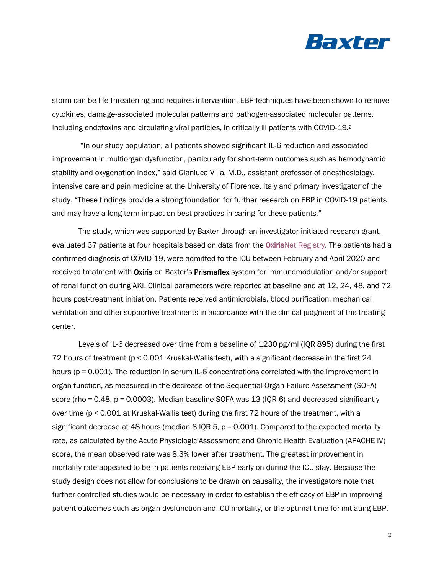

storm can be life-threatening and requires intervention. EBP techniques have been shown to remove cytokines, damage-associated molecular patterns and pathogen-associated molecular patterns, including endotoxins and circulating viral particles, in critically ill patients with COVID-19.<sup>2</sup>

"In our study population, all patients showed significant IL-6 reduction and associated improvement in multiorgan dysfunction, particularly for short-term outcomes such as hemodynamic stability and oxygenation index," said Gianluca Villa, M.D., assistant professor of anesthesiology, intensive care and pain medicine at the University of Florence, Italy and primary investigator of the study. "These findings provide a strong foundation for further research on EBP in COVID-19 patients and may have a long-term impact on best practices in caring for these patients."

The study, which was supported by Baxter through an investigator-initiated research grant, evaluated 37 patients at four hospitals based on data from the [OxirisNet Registry.](http://www.arrt.eu/) The patients had a confirmed diagnosis of COVID-19, were admitted to the ICU between February and April 2020 and received treatment with Oxiris on Baxter's Prismaflex system for immunomodulation and/or support of renal function during AKI. Clinical parameters were reported at baseline and at 12, 24, 48, and 72 hours post-treatment initiation. Patients received antimicrobials, blood purification, mechanical ventilation and other supportive treatments in accordance with the clinical judgment of the treating center.

Levels of IL-6 decreased over time from a baseline of 1230 pg/ml (IQR 895) during the first 72 hours of treatment (p < 0.001 Kruskal-Wallis test), with a significant decrease in the first 24 hours ( $p = 0.001$ ). The reduction in serum IL-6 concentrations correlated with the improvement in organ function, as measured in the decrease of the Sequential Organ Failure Assessment (SOFA) score (rho = 0.48, p = 0.0003). Median baseline SOFA was 13 (IQR 6) and decreased significantly over time (p < 0.001 at Kruskal-Wallis test) during the first 72 hours of the treatment, with a significant decrease at 48 hours (median 8 IQR 5,  $p = 0.001$ ). Compared to the expected mortality rate, as calculated by the Acute Physiologic Assessment and Chronic Health Evaluation (APACHE IV) score, the mean observed rate was 8.3% lower after treatment. The greatest improvement in mortality rate appeared to be in patients receiving EBP early on during the ICU stay. Because the study design does not allow for conclusions to be drawn on causality, the investigators note that further controlled studies would be necessary in order to establish the efficacy of EBP in improving patient outcomes such as organ dysfunction and ICU mortality, or the optimal time for initiating EBP.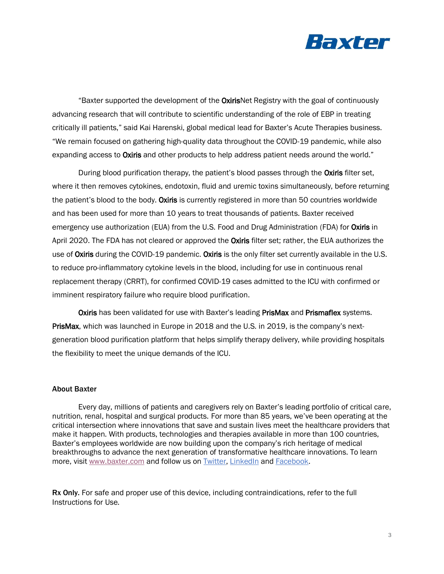

"Baxter supported the development of the OxirisNet Registry with the goal of continuously advancing research that will contribute to scientific understanding of the role of EBP in treating critically ill patients," said Kai Harenski, global medical lead for Baxter's Acute Therapies business. "We remain focused on gathering high-quality data throughout the COVID-19 pandemic, while also expanding access to Oxiris and other products to help address patient needs around the world."

During blood purification therapy, the patient's blood passes through the Oxiris filter set, where it then removes cytokines, endotoxin, fluid and uremic toxins simultaneously, before returning the patient's blood to the body. Oxiris is currently registered in more than 50 countries worldwide and has been used for more than 10 years to treat thousands of patients. Baxter received emergency use authorization (EUA) from the U.S. Food and Drug Administration (FDA) for Oxiris in April 2020. The FDA has not cleared or approved the Oxiris filter set; rather, the EUA authorizes the use of Oxiris during the COVID-19 pandemic. Oxiris is the only filter set currently available in the U.S. to reduce pro-inflammatory cytokine levels in the blood, including for use in continuous renal replacement therapy (CRRT), for confirmed COVID-19 cases admitted to the ICU with confirmed or imminent respiratory failure who require blood purification.

Oxiris has been validated for use with Baxter's leading PrisMax and Prismaflex systems. PrisMax, which was launched in Europe in 2018 and the U.S. in 2019, is the company's nextgeneration blood purification platform that helps simplify therapy delivery, while providing hospitals the flexibility to meet the unique demands of the ICU.

#### About Baxter

Every day, millions of patients and caregivers rely on Baxter's leading portfolio of critical care, nutrition, renal, hospital and surgical products. For more than 85 years, we've been operating at the critical intersection where innovations that save and sustain lives meet the healthcare providers that make it happen. With products, technologies and therapies available in more than 100 countries, Baxter's employees worldwide are now building upon the company's rich heritage of medical breakthroughs to advance the next generation of transformative healthcare innovations. To learn more, visit [www.baxter.com](http://www.baxter.com/) and follow us on [Twitter,](https://twitter.com/baxter_intl?ref_src=twsrc%5Egoogle%7Ctwcamp%5Eserp%7Ctwgr%5Eauthor) [LinkedIn](https://www.linkedin.com/company/baxter-healthcare/) and [Facebook.](https://www.facebook.com/BaxterInternationalInc/)

Rx Only. For safe and proper use of this device, including contraindications, refer to the full Instructions for Use.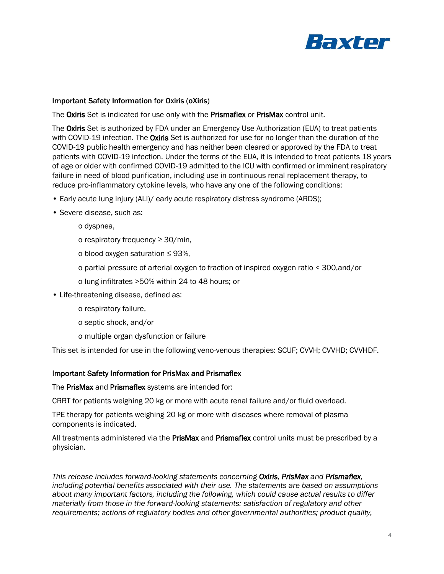

### Important Safety Information for Oxiris (oXiris)

The Oxiris Set is indicated for use only with the Prismaflex or PrisMax control unit.

The Oxiris Set is authorized by FDA under an Emergency Use Authorization (EUA) to treat patients with COVID-19 infection. The Oxiris Set is authorized for use for no longer than the duration of the COVID-19 public health emergency and has neither been cleared or approved by the FDA to treat patients with COVID-19 infection. Under the terms of the EUA, it is intended to treat patients 18 years of age or older with confirmed COVID-19 admitted to the ICU with confirmed or imminent respiratory failure in need of blood purification, including use in continuous renal replacement therapy, to reduce pro-inflammatory cytokine levels, who have any one of the following conditions:

- Early acute lung injury (ALI)/ early acute respiratory distress syndrome (ARDS);
- Severe disease, such as:
	- o dyspnea,
	- o respiratory frequency ≥ 30/min,
	- o blood oxygen saturation ≤ 93%,
	- o partial pressure of arterial oxygen to fraction of inspired oxygen ratio < 300,and/or
	- o lung infiltrates >50% within 24 to 48 hours; or
- Life-threatening disease, defined as:
	- o respiratory failure,
	- o septic shock, and/or
	- o multiple organ dysfunction or failure

This set is intended for use in the following veno-venous therapies: SCUF; CVVH; CVVHD; CVVHDF.

## Important Safety Information for PrisMax and Prismaflex

The PrisMax and Prismaflex systems are intended for:

CRRT for patients weighing 20 kg or more with acute renal failure and/or fluid overload.

TPE therapy for patients weighing 20 kg or more with diseases where removal of plasma components is indicated.

All treatments administered via the PrisMax and Prismaflex control units must be prescribed by a physician.

*This release includes forward-looking statements concerning Oxiris, PrisMax and Prismaflex, including potential benefits associated with their use. The statements are based on assumptions about many important factors, including the following, which could cause actual results to differ materially from those in the forward-looking statements: satisfaction of regulatory and other requirements; actions of regulatory bodies and other governmental authorities; product quality,*